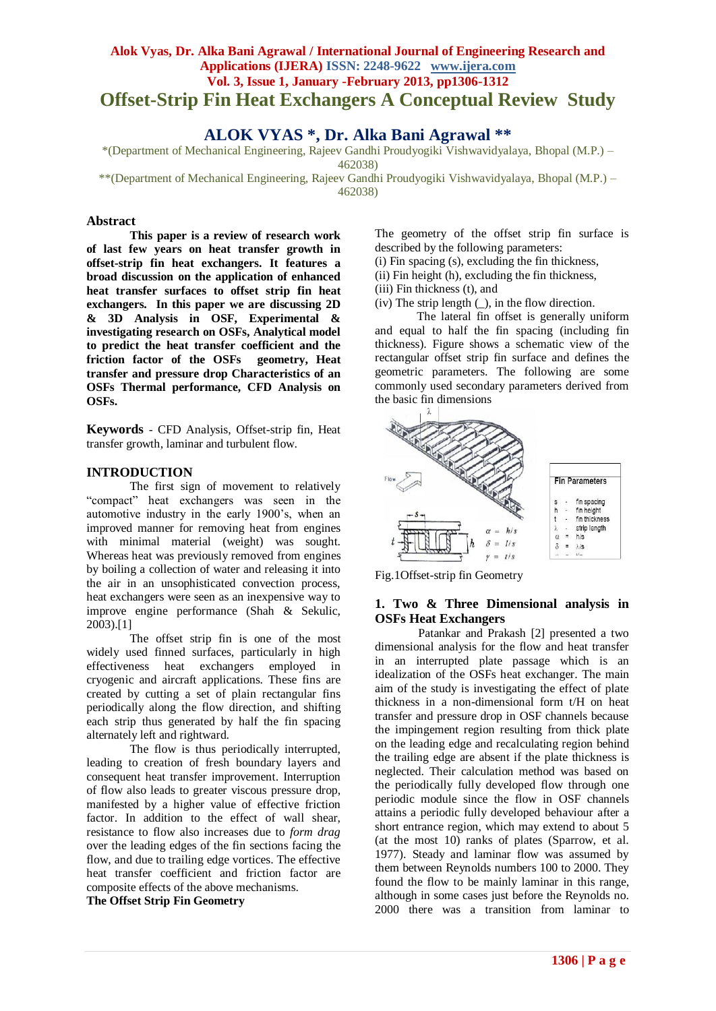# **Alok Vyas, Dr. Alka Bani Agrawal / International Journal of Engineering Research and Applications (IJERA) ISSN: 2248-9622 www.ijera.com Vol. 3, Issue 1, January -February 2013, pp1306-1312 Offset-Strip Fin Heat Exchangers A Conceptual Review Study**

# **ALOK VYAS \*, Dr. Alka Bani Agrawal \*\***

\*(Department of Mechanical Engineering, Rajeev Gandhi Proudyogiki Vishwavidyalaya, Bhopal (M.P.) – 462038)

\*\*(Department of Mechanical Engineering, Rajeev Gandhi Proudyogiki Vishwavidyalaya, Bhopal (M.P.) – 462038)

#### **Abstract**

**This paper is a review of research work of last few years on heat transfer growth in offset-strip fin heat exchangers. It features a broad discussion on the application of enhanced heat transfer surfaces to offset strip fin heat exchangers. In this paper we are discussing 2D & 3D Analysis in OSF, Experimental & investigating research on OSFs, Analytical model to predict the heat transfer coefficient and the friction factor of the OSFs geometry, Heat transfer and pressure drop Characteristics of an OSFs Thermal performance, CFD Analysis on OSFs.**

**Keywords** - CFD Analysis, Offset-strip fin, Heat transfer growth, laminar and turbulent flow.

#### **INTRODUCTION**

The first sign of movement to relatively "compact" heat exchangers was seen in the automotive industry in the early 1900's, when an improved manner for removing heat from engines with minimal material (weight) was sought. Whereas heat was previously removed from engines by boiling a collection of water and releasing it into the air in an unsophisticated convection process, heat exchangers were seen as an inexpensive way to improve engine performance (Shah & Sekulic, 2003).[1]

The offset strip fin is one of the most widely used finned surfaces, particularly in high effectiveness heat exchangers employed in cryogenic and aircraft applications. These fins are created by cutting a set of plain rectangular fins periodically along the flow direction, and shifting each strip thus generated by half the fin spacing alternately left and rightward.

The flow is thus periodically interrupted, leading to creation of fresh boundary layers and consequent heat transfer improvement. Interruption of flow also leads to greater viscous pressure drop, manifested by a higher value of effective friction factor. In addition to the effect of wall shear, resistance to flow also increases due to *form drag*  over the leading edges of the fin sections facing the flow, and due to trailing edge vortices. The effective heat transfer coefficient and friction factor are composite effects of the above mechanisms.

**The Offset Strip Fin Geometry**

The geometry of the offset strip fin surface is described by the following parameters:

(i) Fin spacing (s), excluding the fin thickness,

(ii) Fin height (h), excluding the fin thickness,

(iii) Fin thickness (t), and

 $(iv)$  The strip length  $($ ), in the flow direction.

 The lateral fin offset is generally uniform and equal to half the fin spacing (including fin thickness). Figure shows a schematic view of the rectangular offset strip fin surface and defines the geometric parameters. The following are some commonly used secondary parameters derived from the basic fin dimensions



Fig.1Offset-strip fin Geometry

#### **1. Two & Three Dimensional analysis in OSFs Heat Exchangers**

Patankar and Prakash [2] presented a two dimensional analysis for the flow and heat transfer in an interrupted plate passage which is an idealization of the OSFs heat exchanger. The main aim of the study is investigating the effect of plate thickness in a non-dimensional form t/H on heat transfer and pressure drop in OSF channels because the impingement region resulting from thick plate on the leading edge and recalculating region behind the trailing edge are absent if the plate thickness is neglected. Their calculation method was based on the periodically fully developed flow through one periodic module since the flow in OSF channels attains a periodic fully developed behaviour after a short entrance region, which may extend to about 5 (at the most 10) ranks of plates (Sparrow, et al. 1977). Steady and laminar flow was assumed by them between Reynolds numbers 100 to 2000. They found the flow to be mainly laminar in this range, although in some cases just before the Reynolds no. 2000 there was a transition from laminar to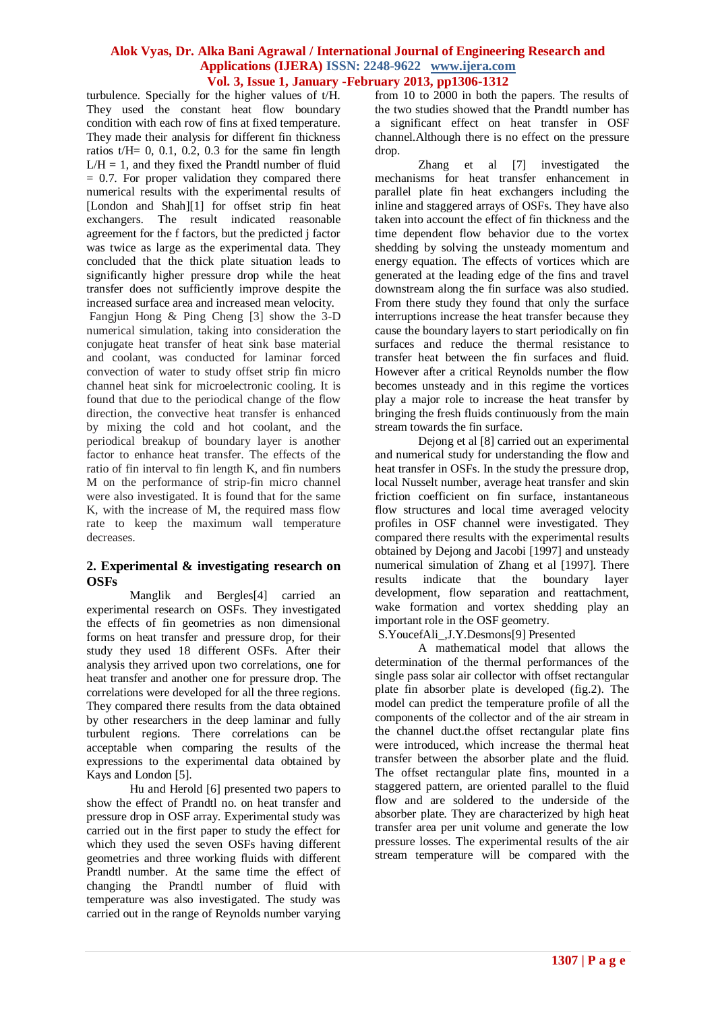turbulence. Specially for the higher values of  $t/H$ . They used the constant heat flow boundary condition with each row of fins at fixed temperature. They made their analysis for different fin thickness ratios  $t/H = 0$ , 0.1, 0.2, 0.3 for the same fin length  $L/H = 1$ , and they fixed the Prandtl number of fluid  $= 0.7$ . For proper validation they compared there numerical results with the experimental results of [London and Shah][1] for offset strip fin heat exchangers. The result indicated reasonable agreement for the f factors, but the predicted j factor was twice as large as the experimental data. They concluded that the thick plate situation leads to significantly higher pressure drop while the heat transfer does not sufficiently improve despite the increased surface area and increased mean velocity.

Fangjun Hong & Ping Cheng [3] show the 3-D numerical simulation, taking into consideration the conjugate heat transfer of heat sink base material and coolant, was conducted for laminar forced convection of water to study offset strip fin micro channel heat sink for microelectronic cooling. It is found that due to the periodical change of the flow direction, the convective heat transfer is enhanced by mixing the cold and hot coolant, and the periodical breakup of boundary layer is another factor to enhance heat transfer. The effects of the ratio of fin interval to fin length K, and fin numbers M on the performance of strip-fin micro channel were also investigated. It is found that for the same K, with the increase of M, the required mass flow rate to keep the maximum wall temperature decreases.

### **2. Experimental & investigating research on OSFs**

Manglik and Bergles[4] carried an experimental research on OSFs. They investigated the effects of fin geometries as non dimensional forms on heat transfer and pressure drop, for their study they used 18 different OSFs. After their analysis they arrived upon two correlations, one for heat transfer and another one for pressure drop. The correlations were developed for all the three regions. They compared there results from the data obtained by other researchers in the deep laminar and fully turbulent regions. There correlations can be acceptable when comparing the results of the expressions to the experimental data obtained by Kays and London [5].

Hu and Herold [6] presented two papers to show the effect of Prandtl no. on heat transfer and pressure drop in OSF array. Experimental study was carried out in the first paper to study the effect for which they used the seven OSFs having different geometries and three working fluids with different Prandtl number. At the same time the effect of changing the Prandtl number of fluid with temperature was also investigated. The study was carried out in the range of Reynolds number varying from 10 to 2000 in both the papers. The results of the two studies showed that the Prandtl number has a significant effect on heat transfer in OSF channel.Although there is no effect on the pressure drop.

Zhang et al [7] investigated the mechanisms for heat transfer enhancement in parallel plate fin heat exchangers including the inline and staggered arrays of OSFs. They have also taken into account the effect of fin thickness and the time dependent flow behavior due to the vortex shedding by solving the unsteady momentum and energy equation. The effects of vortices which are generated at the leading edge of the fins and travel downstream along the fin surface was also studied. From there study they found that only the surface interruptions increase the heat transfer because they cause the boundary layers to start periodically on fin surfaces and reduce the thermal resistance to transfer heat between the fin surfaces and fluid. However after a critical Reynolds number the flow becomes unsteady and in this regime the vortices play a major role to increase the heat transfer by bringing the fresh fluids continuously from the main stream towards the fin surface.

Dejong et al [8] carried out an experimental and numerical study for understanding the flow and heat transfer in OSFs. In the study the pressure drop, local Nusselt number, average heat transfer and skin friction coefficient on fin surface, instantaneous flow structures and local time averaged velocity profiles in OSF channel were investigated. They compared there results with the experimental results obtained by Dejong and Jacobi [1997] and unsteady numerical simulation of Zhang et al [1997]. There results indicate that the boundary layer development, flow separation and reattachment, wake formation and vortex shedding play an important role in the OSF geometry.

S.YoucefAli\_,J.Y.Desmons[9] Presented

A mathematical model that allows the determination of the thermal performances of the single pass solar air collector with offset rectangular plate fin absorber plate is developed (fig.2). The model can predict the temperature profile of all the components of the collector and of the air stream in the channel duct.the offset rectangular plate fins were introduced, which increase the thermal heat transfer between the absorber plate and the fluid. The offset rectangular plate fins, mounted in a staggered pattern, are oriented parallel to the fluid flow and are soldered to the underside of the absorber plate. They are characterized by high heat transfer area per unit volume and generate the low pressure losses. The experimental results of the air stream temperature will be compared with the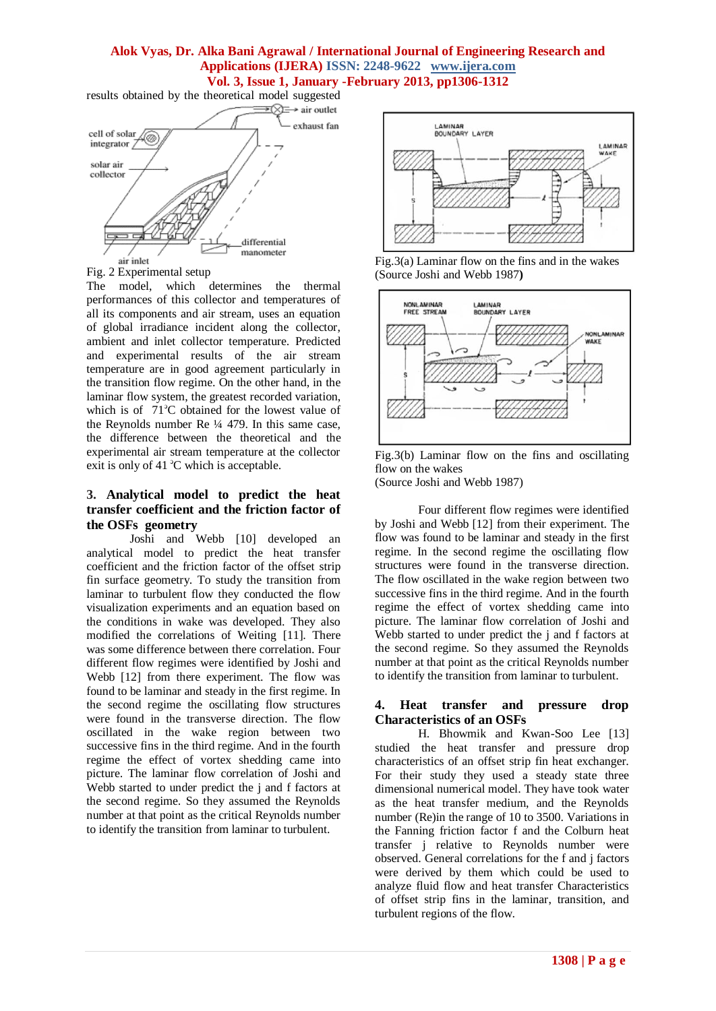results obtained by the theoretical model suggested



Fig. 2 Experimental setup

The model, which determines the thermal performances of this collector and temperatures of all its components and air stream, uses an equation of global irradiance incident along the collector, ambient and inlet collector temperature. Predicted and experimental results of the air stream temperature are in good agreement particularly in the transition flow regime. On the other hand, in the laminar flow system, the greatest recorded variation, which is of  $71^\circ$ C obtained for the lowest value of the Reynolds number Re ¼ 479. In this same case, the difference between the theoretical and the experimental air stream temperature at the collector exit is only of 41  $^{\circ}$ C which is acceptable.

## **3. Analytical model to predict the heat transfer coefficient and the friction factor of the OSFs geometry**

Joshi and Webb [10] developed an analytical model to predict the heat transfer coefficient and the friction factor of the offset strip fin surface geometry. To study the transition from laminar to turbulent flow they conducted the flow visualization experiments and an equation based on the conditions in wake was developed. They also modified the correlations of Weiting [11]. There was some difference between there correlation. Four different flow regimes were identified by Joshi and Webb [12] from there experiment. The flow was found to be laminar and steady in the first regime. In the second regime the oscillating flow structures were found in the transverse direction. The flow oscillated in the wake region between two successive fins in the third regime. And in the fourth regime the effect of vortex shedding came into picture. The laminar flow correlation of Joshi and Webb started to under predict the j and f factors at the second regime. So they assumed the Reynolds number at that point as the critical Reynolds number to identify the transition from laminar to turbulent.







Fig.3(b) Laminar flow on the fins and oscillating flow on the wakes (Source Joshi and Webb 1987)

Four different flow regimes were identified by Joshi and Webb [12] from their experiment. The flow was found to be laminar and steady in the first regime. In the second regime the oscillating flow structures were found in the transverse direction. The flow oscillated in the wake region between two successive fins in the third regime. And in the fourth regime the effect of vortex shedding came into picture. The laminar flow correlation of Joshi and Webb started to under predict the j and f factors at the second regime. So they assumed the Reynolds number at that point as the critical Reynolds number to identify the transition from laminar to turbulent.

### **4. Heat transfer and pressure drop Characteristics of an OSFs**

H. Bhowmik and Kwan-Soo Lee [13] studied the heat transfer and pressure drop characteristics of an offset strip fin heat exchanger. For their study they used a steady state three dimensional numerical model. They have took water as the heat transfer medium, and the Reynolds number (Re)in the range of 10 to 3500. Variations in the Fanning friction factor f and the Colburn heat transfer j relative to Reynolds number were observed. General correlations for the f and j factors were derived by them which could be used to analyze fluid flow and heat transfer Characteristics of offset strip fins in the laminar, transition, and turbulent regions of the flow.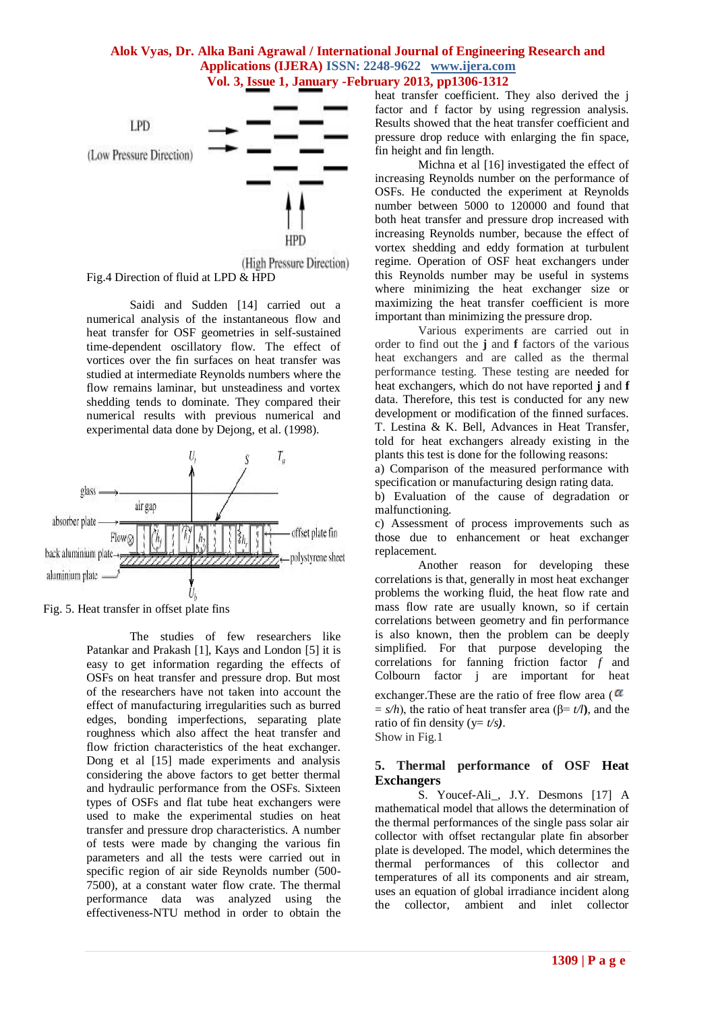

(High Pressure Direction) Fig.4 Direction of fluid at LPD & HPD

Saidi and Sudden [14] carried out a numerical analysis of the instantaneous flow and heat transfer for OSF geometries in self-sustained time-dependent oscillatory flow. The effect of vortices over the fin surfaces on heat transfer was studied at intermediate Reynolds numbers where the flow remains laminar, but unsteadiness and vortex shedding tends to dominate. They compared their numerical results with previous numerical and experimental data done by Dejong, et al. (1998).



Fig. 5. Heat transfer in offset plate fins

The studies of few researchers like Patankar and Prakash [1], Kays and London [5] it is easy to get information regarding the effects of OSFs on heat transfer and pressure drop. But most of the researchers have not taken into account the effect of manufacturing irregularities such as burred edges, bonding imperfections, separating plate roughness which also affect the heat transfer and flow friction characteristics of the heat exchanger. Dong et al [15] made experiments and analysis considering the above factors to get better thermal and hydraulic performance from the OSFs. Sixteen types of OSFs and flat tube heat exchangers were used to make the experimental studies on heat transfer and pressure drop characteristics. A number of tests were made by changing the various fin parameters and all the tests were carried out in specific region of air side Reynolds number (500- 7500), at a constant water flow crate. The thermal performance data was analyzed using the effectiveness-NTU method in order to obtain the heat transfer coefficient. They also derived the j factor and f factor by using regression analysis. Results showed that the heat transfer coefficient and pressure drop reduce with enlarging the fin space, fin height and fin length.

Michna et al [16] investigated the effect of increasing Reynolds number on the performance of OSFs. He conducted the experiment at Reynolds number between 5000 to 120000 and found that both heat transfer and pressure drop increased with increasing Reynolds number, because the effect of vortex shedding and eddy formation at turbulent regime. Operation of OSF heat exchangers under this Reynolds number may be useful in systems where minimizing the heat exchanger size or maximizing the heat transfer coefficient is more important than minimizing the pressure drop.

Various experiments are carried out in order to find out the **j** and **f** factors of the various heat exchangers and are called as the thermal performance testing. These testing are needed for heat exchangers, which do not have reported **j** and **f**  data. Therefore, this test is conducted for any new development or modification of the finned surfaces. T. Lestina & K. Bell, Advances in Heat Transfer, told for heat exchangers already existing in the plants this test is done for the following reasons:

a) Comparison of the measured performance with specification or manufacturing design rating data.

b) Evaluation of the cause of degradation or malfunctioning.

c) Assessment of process improvements such as those due to enhancement or heat exchanger replacement.

Another reason for developing these correlations is that, generally in most heat exchanger problems the working fluid, the heat flow rate and mass flow rate are usually known, so if certain correlations between geometry and fin performance is also known, then the problem can be deeply simplified. For that purpose developing the correlations for fanning friction factor *f* and Colbourn factor j are important for heat

exchanger. These are the ratio of free flow area ( $\alpha$ )  $= s/h$ ), the ratio of heat transfer area ( $\beta = t/l$ ), and the ratio of fin density ( $y = t/s$ ). Show in Fig.1

# **5. Thermal performance of OSF Heat Exchangers**

S. Youcef-Ali\_, J.Y. Desmons [17] A mathematical model that allows the determination of the thermal performances of the single pass solar air collector with offset rectangular plate fin absorber plate is developed. The model, which determines the thermal performances of this collector and temperatures of all its components and air stream, uses an equation of global irradiance incident along the collector, ambient and inlet collector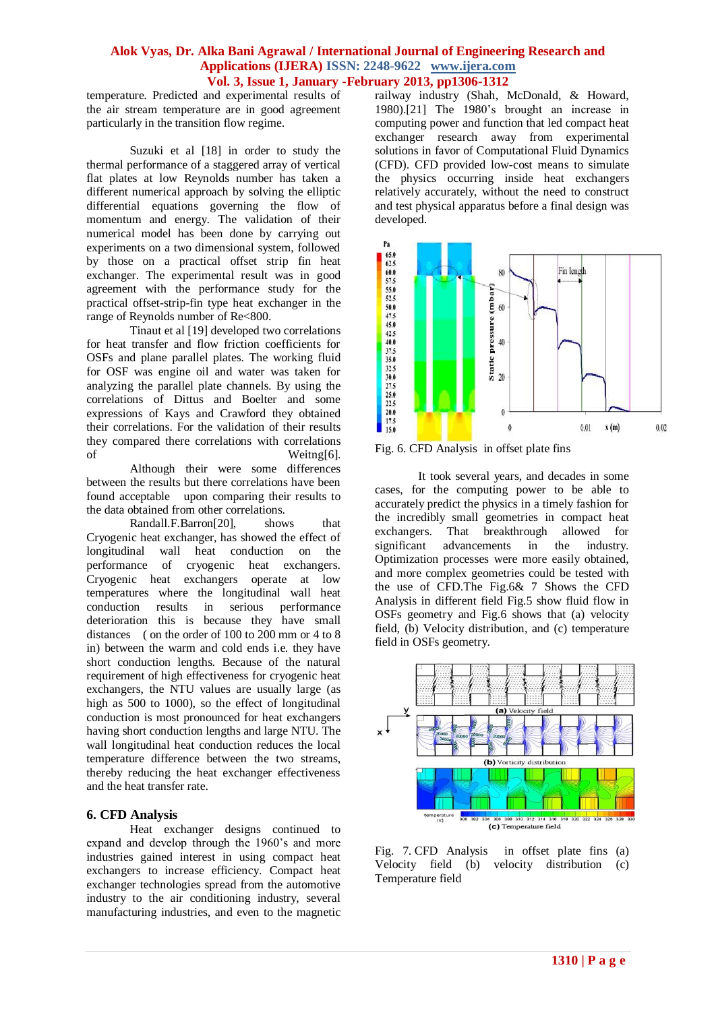temperature. Predicted and experimental results of the air stream temperature are in good agreement particularly in the transition flow regime.

Suzuki et al [18] in order to study the thermal performance of a staggered array of vertical flat plates at low Reynolds number has taken a different numerical approach by solving the elliptic differential equations governing the flow of momentum and energy. The validation of their numerical model has been done by carrying out experiments on a two dimensional system, followed by those on a practical offset strip fin heat exchanger. The experimental result was in good agreement with the performance study for the practical offset-strip-fin type heat exchanger in the range of Reynolds number of Re<800.

Tinaut et al [19] developed two correlations for heat transfer and flow friction coefficients for OSFs and plane parallel plates. The working fluid for OSF was engine oil and water was taken for analyzing the parallel plate channels. By using the correlations of Dittus and Boelter and some expressions of Kays and Crawford they obtained their correlations. For the validation of their results they compared there correlations with correlations of Weitng[6].

Although their were some differences between the results but there correlations have been found acceptable upon comparing their results to the data obtained from other correlations.

Randall.F.Barron[20], shows that Cryogenic heat exchanger, has showed the effect of longitudinal wall heat conduction on the performance of cryogenic heat exchangers. Cryogenic heat exchangers operate at low temperatures where the longitudinal wall heat conduction results in serious performance deterioration this is because they have small distances ( on the order of 100 to 200 mm or 4 to 8 in) between the warm and cold ends i.e. they have short conduction lengths. Because of the natural requirement of high effectiveness for cryogenic heat exchangers, the NTU values are usually large (as high as 500 to 1000), so the effect of longitudinal conduction is most pronounced for heat exchangers having short conduction lengths and large NTU. The wall longitudinal heat conduction reduces the local temperature difference between the two streams, thereby reducing the heat exchanger effectiveness and the heat transfer rate.

### **6. CFD Analysis**

Heat exchanger designs continued to expand and develop through the 1960's and more industries gained interest in using compact heat exchangers to increase efficiency. Compact heat exchanger technologies spread from the automotive industry to the air conditioning industry, several manufacturing industries, and even to the magnetic railway industry (Shah, McDonald, & Howard, 1980).[21] The 1980's brought an increase in computing power and function that led compact heat exchanger research away from experimental solutions in favor of Computational Fluid Dynamics (CFD). CFD provided low-cost means to simulate the physics occurring inside heat exchangers relatively accurately, without the need to construct and test physical apparatus before a final design was developed.



Fig. 6. CFD Analysis in offset plate fins

It took several years, and decades in some cases, for the computing power to be able to accurately predict the physics in a timely fashion for the incredibly small geometries in compact heat exchangers. That breakthrough allowed for significant advancements in the industry. Optimization processes were more easily obtained, and more complex geometries could be tested with the use of CFD.The Fig.6& 7 Shows the CFD Analysis in different field Fig.5 show fluid flow in OSFs geometry and Fig.6 shows that (a) velocity field, (b) Velocity distribution, and (c) temperature field in OSFs geometry.



Fig. 7. CFD Analysis in offset plate fins (a) Velocity field (b) velocity distribution (c) Temperature field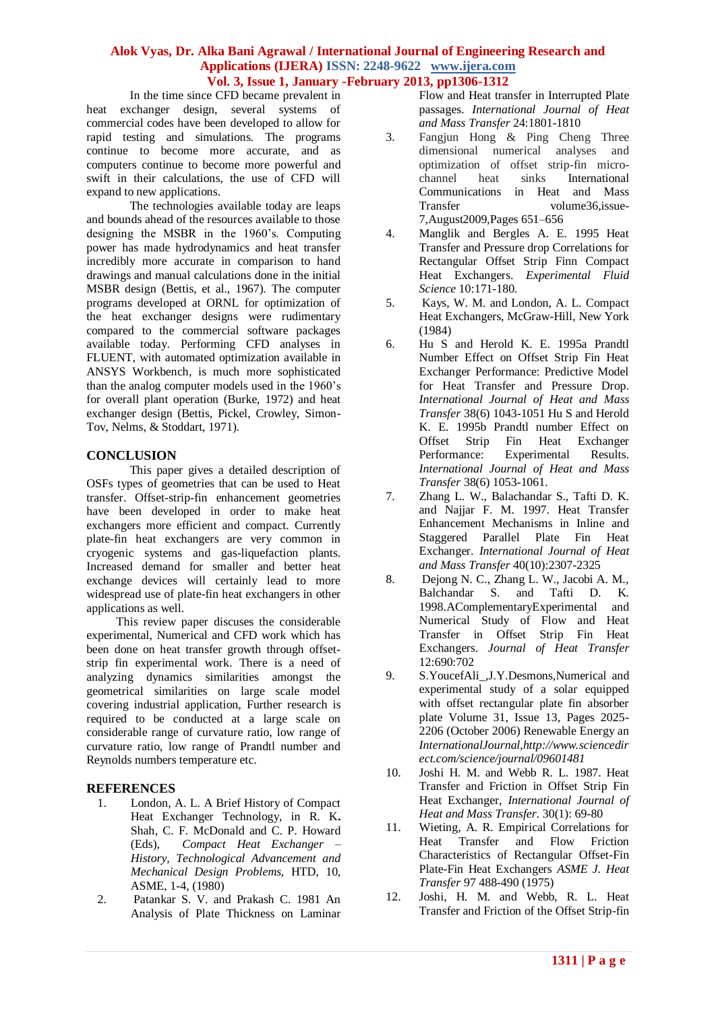In the time since CFD became prevalent in heat exchanger design, several systems of commercial codes have been developed to allow for rapid testing and simulations. The programs continue to become more accurate, and as computers continue to become more powerful and swift in their calculations, the use of CFD will expand to new applications.

The technologies available today are leaps and bounds ahead of the resources available to those designing the MSBR in the 1960's. Computing power has made hydrodynamics and heat transfer incredibly more accurate in comparison to hand drawings and manual calculations done in the initial MSBR design (Bettis, et al., 1967). The computer programs developed at ORNL for optimization of the heat exchanger designs were rudimentary compared to the commercial software packages available today. Performing CFD analyses in FLUENT, with automated optimization available in ANSYS Workbench, is much more sophisticated than the analog computer models used in the 1960's for overall plant operation (Burke, 1972) and heat exchanger design (Bettis, Pickel, Crowley, Simon-Tov, Nelms, & Stoddart, 1971).

# **CONCLUSION**

This paper gives a detailed description of OSFs types of geometries that can be used to Heat transfer. Offset-strip-fin enhancement geometries have been developed in order to make heat exchangers more efficient and compact. Currently plate-fin heat exchangers are very common in cryogenic systems and gas-liquefaction plants. Increased demand for smaller and better heat exchange devices will certainly lead to more widespread use of plate-fin heat exchangers in other applications as well.

 This review paper discuses the considerable experimental, Numerical and CFD work which has been done on heat transfer growth through offsetstrip fin experimental work. There is a need of analyzing dynamics similarities amongst the geometrical similarities on large scale model covering industrial application, Further research is required to be conducted at a large scale on considerable range of curvature ratio, low range of curvature ratio, low range of Prandtl number and Reynolds numbers temperature etc.

# **REFERENCES**

- 1. London, A. L. A Brief History of Compact Heat Exchanger Technology, in R. K**.**  Shah, C. F. McDonald and C. P. Howard (Eds),*Compact Heat Exchanger – History, Technological Advancement and Mechanical Design Problems,* HTD, 10, ASME, 1-4, (1980)
- 2. Patankar S. V. and Prakash C. 1981 An Analysis of Plate Thickness on Laminar

Flow and Heat transfer in Interrupted Plate passages. *International Journal of Heat and Mass Transfer* 24:1801-1810

- 3. Fangjun Hong & Ping Cheng Three dimensional numerical analyses and optimization of offset strip-fin microchannel heat sinks International Communications in Heat and Mass Transfer volume36,issue-7,August2009,Pages 651–656
- 4. Manglik and Bergles A. E. 1995 Heat Transfer and Pressure drop Correlations for Rectangular Offset Strip Finn Compact Heat Exchangers. *Experimental Fluid Science* 10:171-180.
- 5. Kays, W. M. and London, A. L. Compact Heat Exchangers, McGraw-Hill, New York (1984)
- 6. Hu S and Herold K. E. 1995a Prandtl Number Effect on Offset Strip Fin Heat Exchanger Performance: Predictive Model for Heat Transfer and Pressure Drop. *International Journal of Heat and Mass Transfer* 38(6) 1043-1051 Hu S and Herold K. E. 1995b Prandtl number Effect on Offset Strip Fin Heat Exchanger Performance: Experimental Results. *International Journal of Heat and Mass Transfer* 38(6) 1053-1061.
- 7. Zhang L. W., Balachandar S., Tafti D. K. and Najjar F. M. 1997. Heat Transfer Enhancement Mechanisms in Inline and Staggered Parallel Plate Fin Heat Exchanger. *International Journal of Heat and Mass Transfer* 40(10):2307-2325
- 8. Dejong N. C., Zhang L. W., Jacobi A. M., Balchandar S. and Tafti D. K. 1998.AComplementaryExperimental and Numerical Study of Flow and Heat Transfer in Offset Strip Fin Heat Exchangers. *Journal of Heat Transfer*  12:690:702
- 9. S.YoucefAli\_,J.Y.Desmons,Numerical and experimental study of a solar equipped with offset rectangular plate fin absorber plate Volume 31, Issue 13, Pages 2025- 2206 (October 2006) Renewable Energy an *InternationalJournal*,*http://www.sciencedir ect.com/science/journal/09601481*
- 10. Joshi H. M. and Webb R. L. 1987. Heat Transfer and Friction in Offset Strip Fin Heat Exchanger, *International Journal of Heat and Mass Transfer*. 30(1): 69-80
- 11. Wieting, A. R. Empirical Correlations for Heat Transfer and Flow Friction Characteristics of Rectangular Offset-Fin Plate-Fin Heat Exchangers *ASME J. Heat Transfer* 97 488-490 (1975)
- 12. Joshi, H. M. and Webb, R. L. Heat Transfer and Friction of the Offset Strip-fin